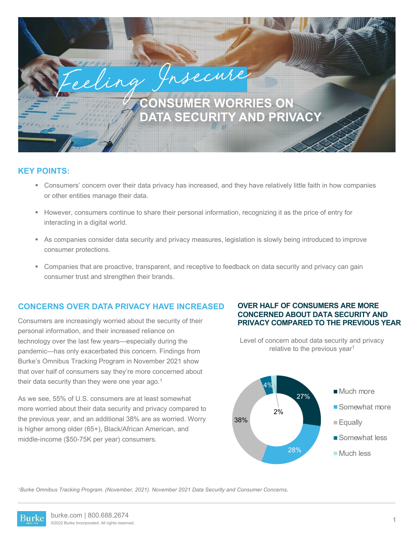# **CONSUMER WORRIES ON DATA SECURITY AND PRIVACY**

## **KEY POINTS:**

- § Consumers' concern over their data privacy has increased, and they have relatively little faith in how companies or other entities manage their data.
- § However, consumers continue to share their personal information, recognizing it as the price of entry for interacting in a digital world.

eling Insecure

- § As companies consider data security and privacy measures, legislation is slowly being introduced to improve consumer protections.
- § Companies that are proactive, transparent, and receptive to feedback on data security and privacy can gain consumer trust and strengthen their brands.

## **CONCERNS OVER DATA PRIVACY HAVE INCREASED**

Consumers are increasingly worried about the security of their personal information, and their increased reliance on technology over the last few years—especially during the pandemic—has only exacerbated this concern. Findings from Burke's Omnibus Tracking Program in November 2021 show that over half of consumers say they're more concerned about their data security than they were one year ago.<sup>1</sup>

As we see, 55% of U.S. consumers are at least somewhat more worried about their data security and privacy compared to the previous year, and an additional 38% are as worried. Worry is higher among older (65+), Black/African American, and middle-income (\$50-75K per year) consumers.

#### **OVER HALF OF CONSUMERS ARE MORE CONCERNED ABOUT DATA SECURITY AND PRIVACY COMPARED TO THE PREVIOUS YEAR**

Level of concern about data security and privacy relative to the previous year<sup>1</sup>



*1Burke Omnibus Tracking Program. (November, 2021). November 2021 Data Security and Consumer Concerns*.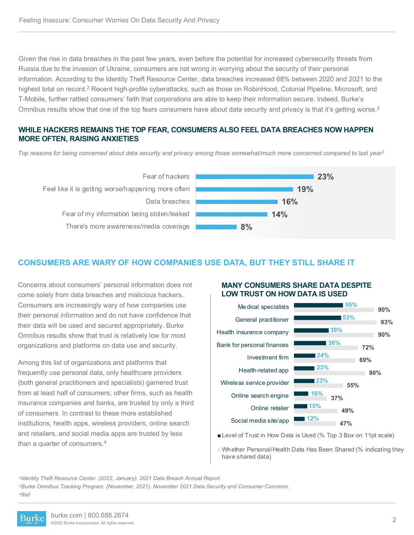Given the rise in data breaches in the past few years, even before the potential for increased cybersecurity threats from Russia due to the invasion of Ukraine, consumers are not wrong in worrying about the security of their personal information. According to the Identity Theft Resource Center, data breaches increased 68% between 2020 and 2021 to the highest total on record.<sup>2</sup> Recent high-profile cyberattacks, such as those on RobinHood, Colonial Pipeline, Microsoft, and T-Mobile, further rattled consumers' faith that corporations are able to keep their information secure. Indeed, Burke's Omnibus results show that one of the top fears consumers have about data security and privacy is that it's getting worse.<sup>3</sup>

#### **WHILE HACKERS REMAINS THE TOP FEAR, CONSUMERS ALSO FEEL DATA BREACHES NOW HAPPEN MORE OFTEN, RAISING ANXIETIES**

*Top reasons for being concerned about data security and privacy among those somewhat/much more concerned compared to last year3*



## **CONSUMERS ARE WARY OF HOW COMPANIES USE DATA, BUT THEY STILL SHARE IT**

Concerns about consumers' personal information does not come solely from data breaches and malicious hackers. Consumers are increasingly wary of how companies use their personal information and do not have confidence that their data will be used and secured appropriately. Burke Omnibus results show that trust is relatively low for most organizations and platforms on data use and security.

Among this list of organizations and platforms that frequently use personal data, only healthcare providers (both general practitioners and specialists) garnered trust from at least half of consumers; other firms, such as health insurance companies and banks, are trusted by only a third of consumers. In contrast to these more established institutions, health apps, wireless providers, online search and retailers, and social media apps are trusted by less than a quarter of consumers.4

### **MANY CONSUMERS SHARE DATA DESPITE LOW TRUST ON HOW DATA IS USED**



Level of Trust in How Data is Used (% Top 3 Box on 11pt scale)

Whether Personal/Health Data Has Been Shared (% indicating they have shared data)

*2Identity Theft Resource Center. (2022, January). 2021 Data Breach Annual Report.* 

*3Burke Omnibus Tracking Program. (November, 2021). November 2021 Data Security and Consumer Concerns. 4Ibid*

Burke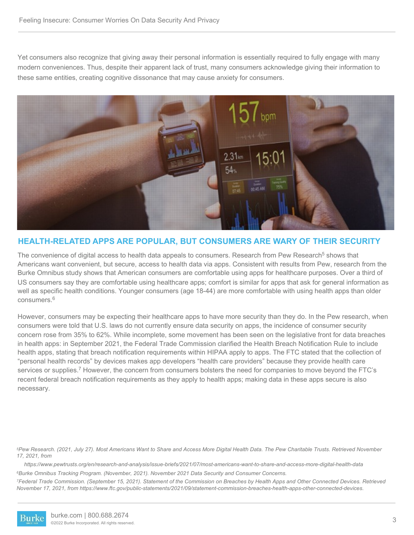Yet consumers also recognize that giving away their personal information is essentially required to fully engage with many modern conveniences. Thus, despite their apparent lack of trust, many consumers acknowledge giving their information to these same entities, creating cognitive dissonance that may cause anxiety for consumers.



## **HEALTH-RELATED APPS ARE POPULAR, BUT CONSUMERS ARE WARY OF THEIR SECURITY**

The convenience of digital access to health data appeals to consumers. Research from Pew Research<sup>5</sup> shows that Americans want convenient, but secure, access to health data via apps. Consistent with results from Pew, research from the Burke Omnibus study shows that American consumers are comfortable using apps for healthcare purposes. Over a third of US consumers say they are comfortable using healthcare apps; comfort is similar for apps that ask for general information as well as specific health conditions. Younger consumers (age 18-44) are more comfortable with using health apps than older  $consumes<sup>6</sup>$ 

However, consumers may be expecting their healthcare apps to have more security than they do. In the Pew research, when consumers were told that U.S. laws do not currently ensure data security on apps, the incidence of consumer security concern rose from 35% to 62%. While incomplete, some movement has been seen on the legislative front for data breaches in health apps: in September 2021, the Federal Trade Commission clarified the Health Breach Notification Rule to include health apps, stating that breach notification requirements within HIPAA apply to apps. The FTC stated that the collection of "personal health records" by devices makes app developers "health care providers" because they provide health care services or supplies.<sup>7</sup> However, the concern from consumers bolsters the need for companies to move beyond the FTC's recent federal breach notification requirements as they apply to health apps; making data in these apps secure is also necessary.

*5Pew Research. (2021, July 27). Most Americans Want to Share and Access More Digital Health Data. The Pew Charitable Trusts. Retrieved November 17, 2021, from* 

*https://www.pewtrusts.org/en/research-and-analysis/issue-briefs/2021/07/most-americans-want-to-share-and-access-more-digital-health-data 6Burke Omnibus Tracking Program. (November, 2021). November 2021 Data Security and Consumer Concerns.*

*7Federal Trade Commission. (September 15, 2021). Statement of the Commission on Breaches by Health Apps and Other Connected Devices. Retrieved November 17, 2021, from https://www.ftc.gov/public-statements/2021/09/statement-commission-breaches-health-apps-other-connected-devices.*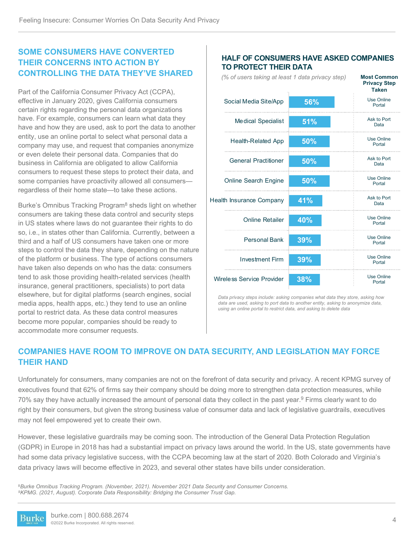# **SOME CONSUMERS HAVE CONVERTED THEIR CONCERNS INTO ACTION BY CONTROLLING THE DATA THEY'VE SHARED**

Part of the California Consumer Privacy Act (CCPA), effective in January 2020, gives California consumers certain rights regarding the personal data organizations have. For example, consumers can learn what data they have and how they are used, ask to port the data to another entity, use an online portal to select what personal data a company may use, and request that companies anonymize or even delete their personal data. Companies that do business in California are obligated to allow California consumers to request these steps to protect their data, and some companies have proactivity allowed all consumers regardless of their home state—to take these actions.

Burke's Omnibus Tracking Program<sup>8</sup> sheds light on whether consumers are taking these data control and security steps in US states where laws do not guarantee their rights to do so, i.e., in states other than California. Currently, between a third and a half of US consumers have taken one or more steps to control the data they share, depending on the nature of the platform or business. The type of actions consumers have taken also depends on who has the data: consumers tend to ask those providing health-related services (health insurance, general practitioners, specialists) to port data elsewhere, but for digital platforms (search engines, social media apps, health apps, etc.) they tend to use an online portal to restrict data. As these data control measures become more popular, companies should be ready to accommodate more consumer requests.

#### **HALF OF CONSUMERS HAVE ASKED COMPANIES TO PROTECT THEIR DATA**

**Most Common Privacy Step** 

*(% of users taking at least 1 data privacy step)*

|                             |     | <b>Taken</b>                |
|-----------------------------|-----|-----------------------------|
| Social Media Site/App       | 56% | <b>Use Online</b><br>Portal |
| Medical Specialist          | 51% | Ask to Port<br>Data         |
| <b>Health-Related App</b>   | 50% | Use Online<br>Portal        |
| <b>General Practitioner</b> | 50% | Ask to Port<br>Data         |
| <b>Online Search Engine</b> | 50% | <b>Use Online</b><br>Portal |
| Health Insurance Company    | 41% | Ask to Port<br>Data         |
| <b>Online Retailer</b>      | 40% | Use Online<br>Portal        |
| <b>Personal Bank</b>        | 39% | <b>Use Online</b><br>Portal |
| <b>Investment Firm</b>      | 39% | <b>Use Online</b><br>Portal |
| Wireless Service Provider   | 38% | <b>Use Online</b><br>Portal |

*Data privacy steps include: asking companies what data they store, asking how data are used, asking to port data to another entity, asking to anonymize data, using an online portal to restrict data, and asking to delete data*

# **COMPANIES HAVE ROOM TO IMPROVE ON DATA SECURITY, AND LEGISLATION MAY FORCE THEIR HAND**

Unfortunately for consumers, many companies are not on the forefront of data security and privacy. A recent KPMG survey of executives found that 62% of firms say their company should be doing more to strengthen data protection measures, while 70% say they have actually increased the amount of personal data they collect in the past year.9 Firms clearly want to do right by their consumers, but given the strong business value of consumer data and lack of legislative guardrails, executives may not feel empowered yet to create their own.

However, these legislative guardrails may be coming soon. The introduction of the General Data Protection Regulation (GDPR) in Europe in 2018 has had a substantial impact on privacy laws around the world. In the US, state governments have had some data privacy legislative success, with the CCPA becoming law at the start of 2020. Both Colorado and Virginia's data privacy laws will become effective in 2023, and several other states have bills under consideration.

<sup>8</sup>*Burke Omnibus Tracking Program. (November, 2021). November 2021 Data Security and Consumer Concerns. 9KPMG. (2021, August). Corporate Data Responsibility: Bridging the Consumer Trust Gap.* 

burke.com | 800.688.2674 Burke ©2022 Burke Incorporated. All rights reserved.